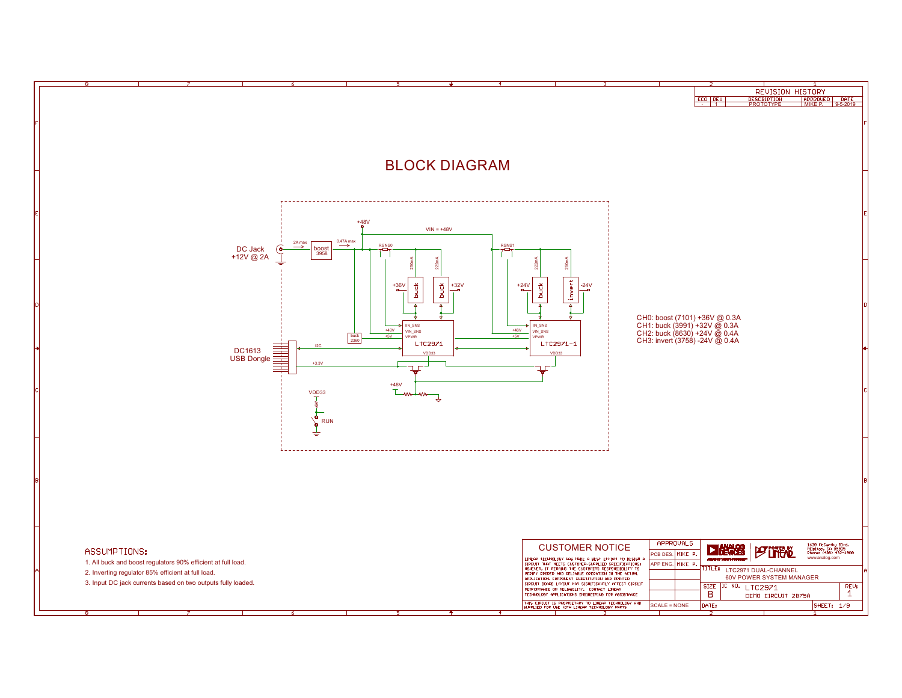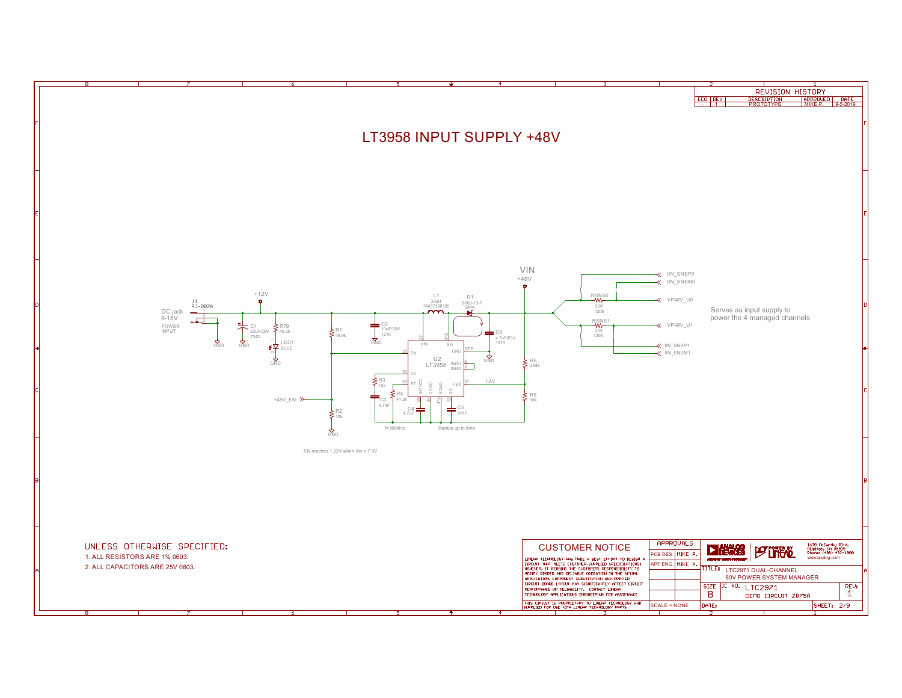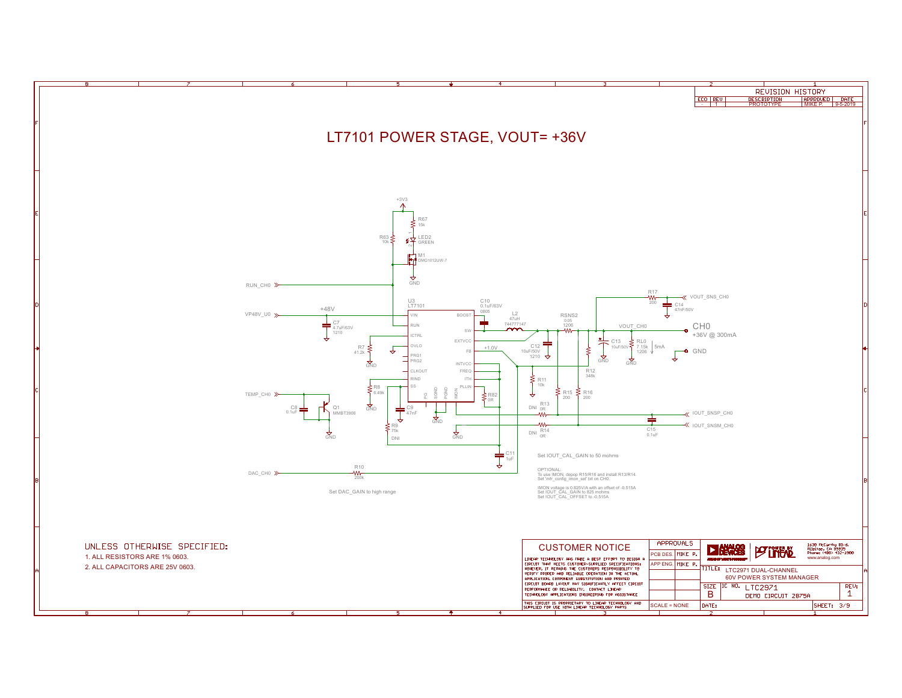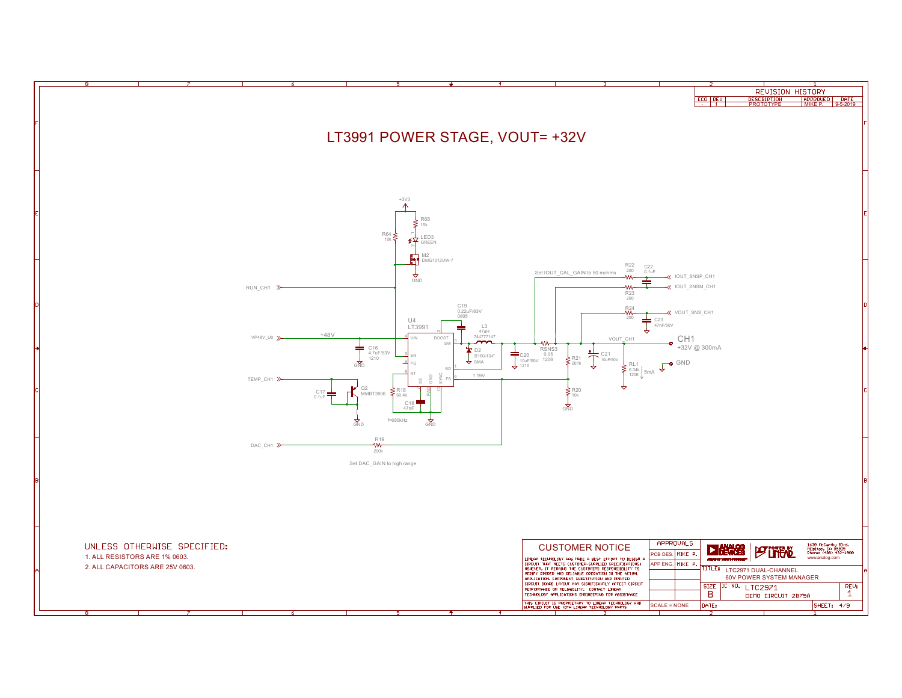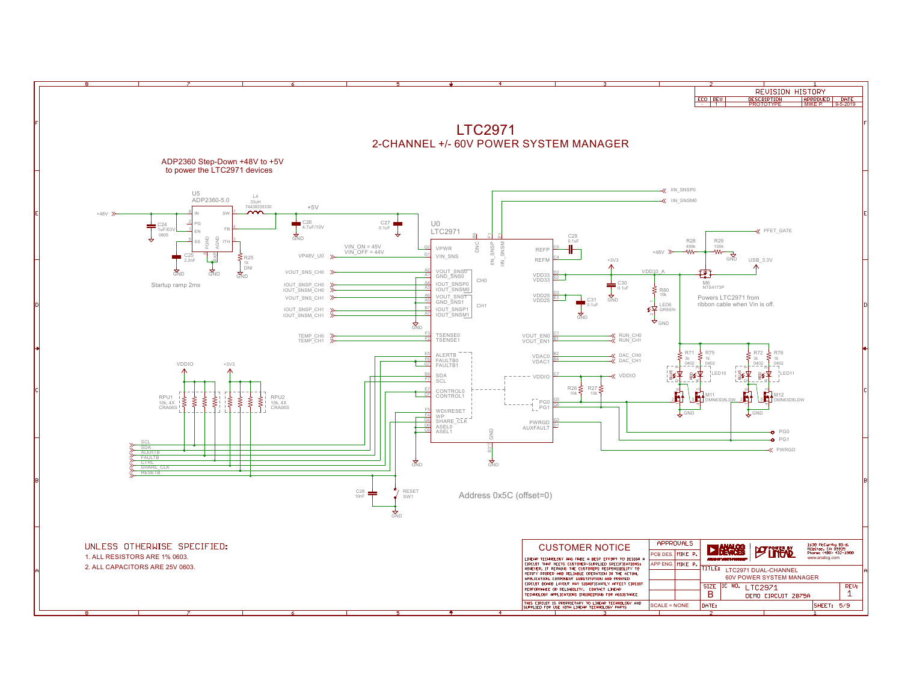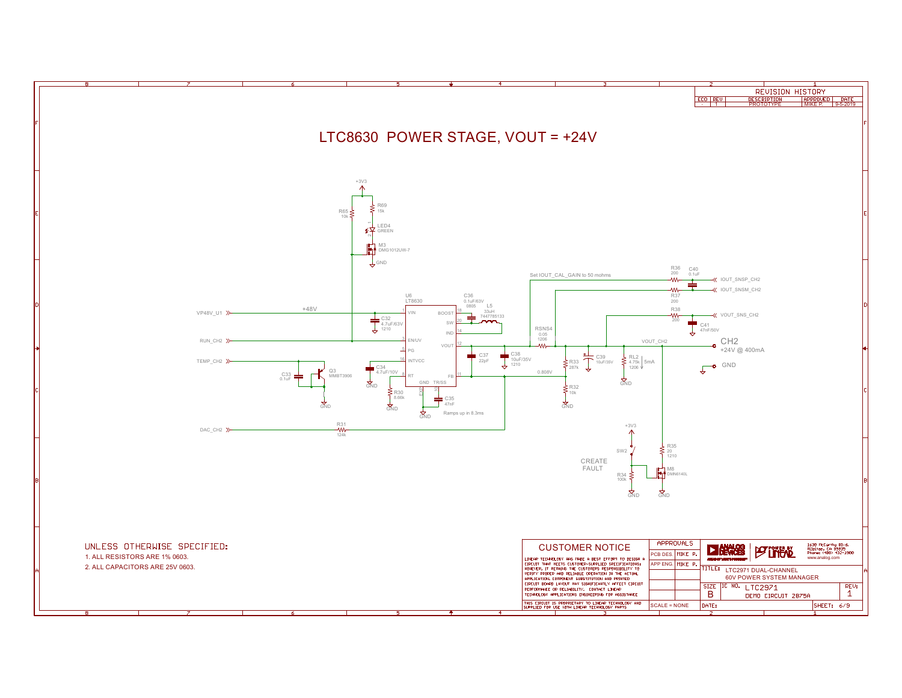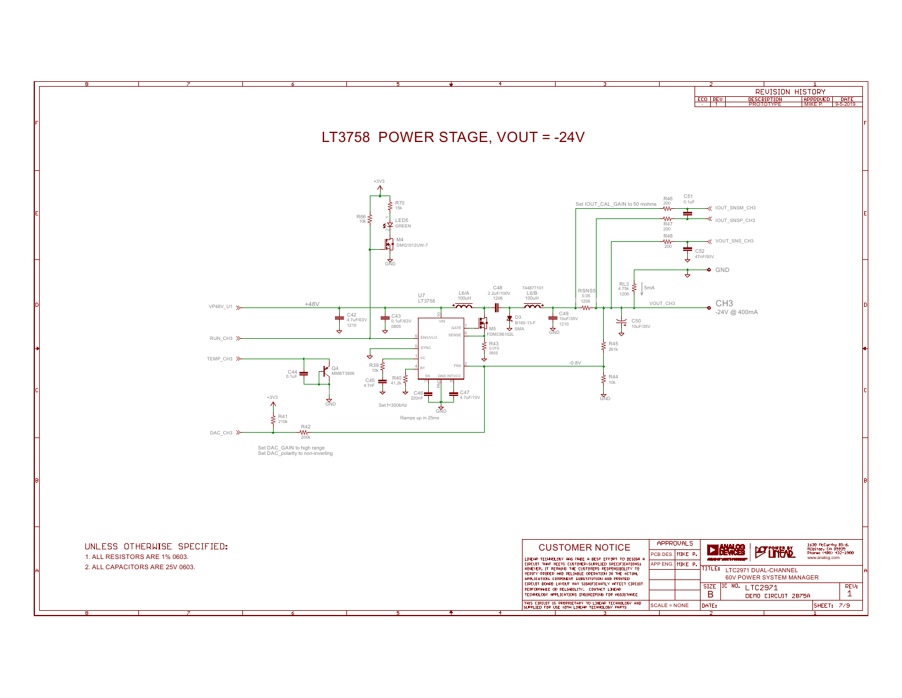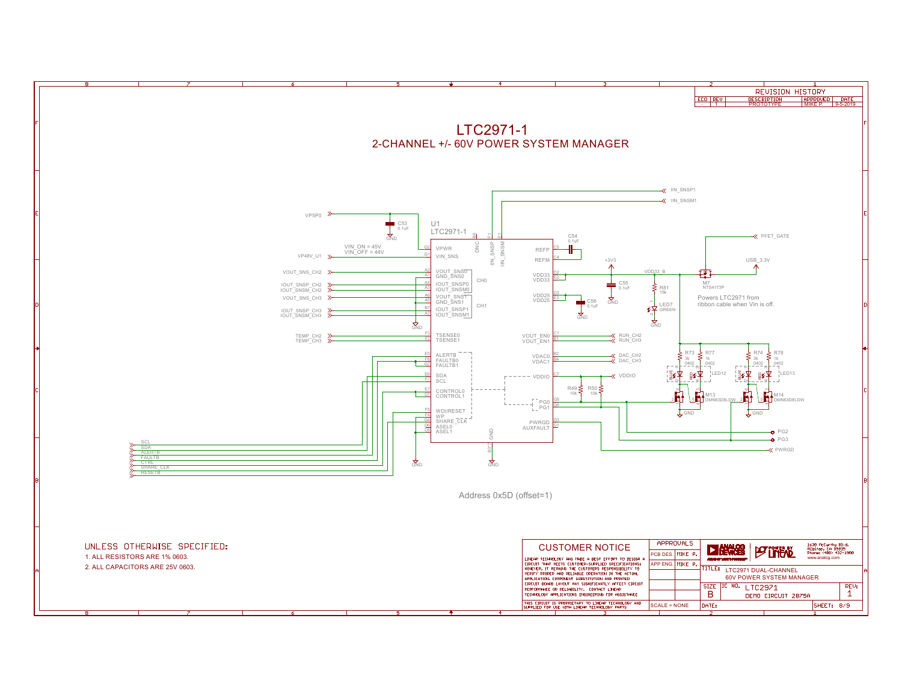